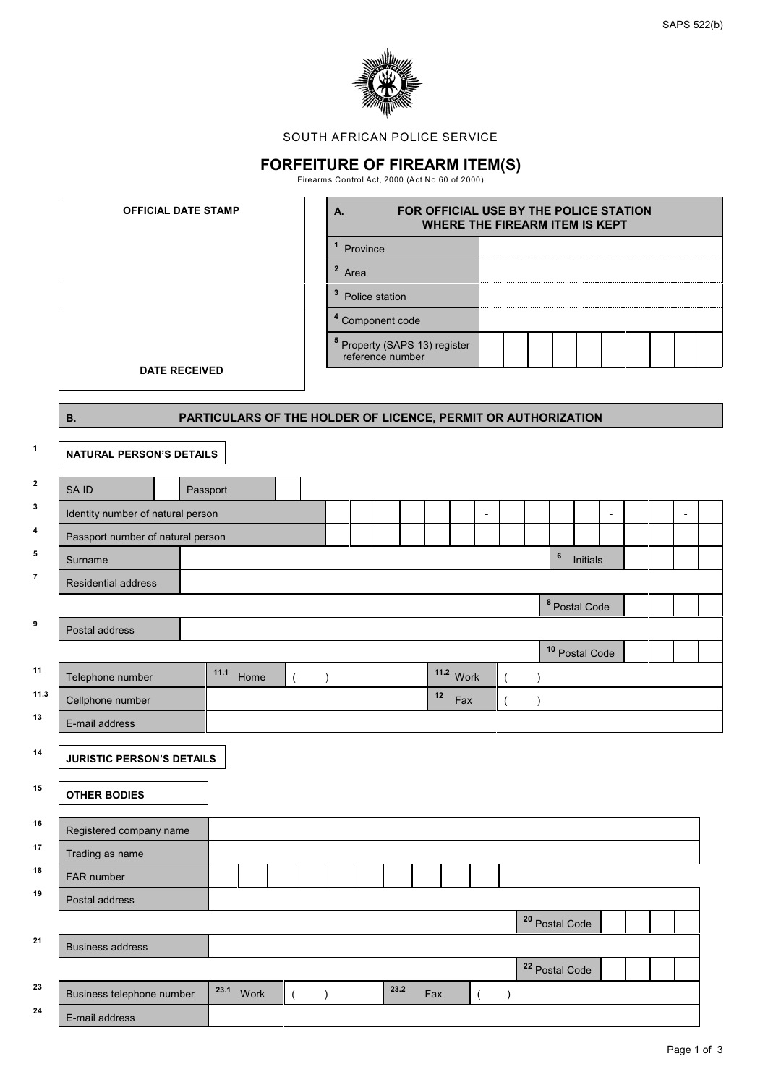

## SOUTH AFRICAN POLICE SERVICE

## **FORFEITURE OF FIREARM ITEM(S)** Firearm s Control Act, 2000 (Act No 60 of 2000)

| <b>OFFICIAL DATE STAMP</b> | А.                                                           | FOR OFFICIAL USE BY THE POLICE STATION<br><b>WHERE THE FIREARM ITEM IS KEPT</b> |
|----------------------------|--------------------------------------------------------------|---------------------------------------------------------------------------------|
|                            | Province                                                     |                                                                                 |
|                            | Area                                                         |                                                                                 |
|                            | Police station                                               |                                                                                 |
|                            | Component code                                               |                                                                                 |
|                            | <sup>5</sup> Property (SAPS 13) register<br>reference number |                                                                                 |
| <b>DATE RECEIVED</b>       |                                                              |                                                                                 |

## **B. PARTICULARS OF THE HOLDER OF LICENCE, PERMIT OR AUTHORIZATION**

 $\overline{\mathbf{1}}$ 

| <b>NATURAL PERSON'S DETAILS</b>   |          |      |                |           |      |     |           |                          |           |           |                           |                           |                          |  |                          |
|-----------------------------------|----------|------|----------------|-----------|------|-----|-----------|--------------------------|-----------|-----------|---------------------------|---------------------------|--------------------------|--|--------------------------|
| SA ID                             | Passport |      |                |           |      |     |           |                          |           |           |                           |                           |                          |  |                          |
| Identity number of natural person |          |      |                |           |      |     |           | $\overline{\phantom{a}}$ |           |           |                           |                           | $\overline{\phantom{a}}$ |  | $\overline{\phantom{a}}$ |
| Passport number of natural person |          |      |                |           |      |     |           |                          |           |           |                           |                           |                          |  |                          |
| Surname                           |          |      |                |           |      |     |           |                          |           |           | $\bf 6$                   | Initials                  |                          |  |                          |
| <b>Residential address</b>        |          |      |                |           |      |     |           |                          |           |           |                           |                           |                          |  |                          |
|                                   |          |      |                |           |      |     |           |                          |           |           | <sup>8</sup> Postal Code  |                           |                          |  |                          |
| Postal address                    |          |      |                |           |      |     |           |                          |           |           |                           |                           |                          |  |                          |
|                                   |          |      |                |           |      |     |           |                          |           |           |                           | <sup>10</sup> Postal Code |                          |  |                          |
| Telephone number                  | 11.1     | Home | $\overline{(}$ | $\lambda$ |      |     | 11.2 Work |                          |           |           |                           |                           |                          |  |                          |
| Cellphone number                  |          |      |                |           |      | 12  | Fax       |                          |           | $\lambda$ |                           |                           |                          |  |                          |
|                                   |          |      |                |           |      |     |           |                          |           |           |                           |                           |                          |  |                          |
| E-mail address                    |          |      |                |           |      |     |           |                          |           |           |                           |                           |                          |  |                          |
|                                   |          |      |                |           |      |     |           |                          |           |           |                           |                           |                          |  |                          |
| <b>JURISTIC PERSON'S DETAILS</b>  |          |      |                |           |      |     |           |                          |           |           |                           |                           |                          |  |                          |
| <b>OTHER BODIES</b>               |          |      |                |           |      |     |           |                          |           |           |                           |                           |                          |  |                          |
|                                   |          |      |                |           |      |     |           |                          |           |           |                           |                           |                          |  |                          |
| Registered company name           |          |      |                |           |      |     |           |                          |           |           |                           |                           |                          |  |                          |
| Trading as name<br>FAR number     |          |      |                |           |      |     |           |                          |           |           |                           |                           |                          |  |                          |
| Postal address                    |          |      |                |           |      |     |           |                          |           |           |                           |                           |                          |  |                          |
|                                   |          |      |                |           |      |     |           |                          |           |           |                           |                           |                          |  |                          |
| <b>Business address</b>           |          |      |                |           |      |     |           |                          |           |           | <sup>20</sup> Postal Code |                           |                          |  |                          |
|                                   |          |      |                |           |      |     |           |                          |           |           |                           |                           |                          |  |                          |
| Business telephone number         | 23.1     | Work | $\overline{ }$ | $\lambda$ | 23.2 | Fax |           |                          | $\lambda$ |           | <sup>22</sup> Postal Code |                           |                          |  |                          |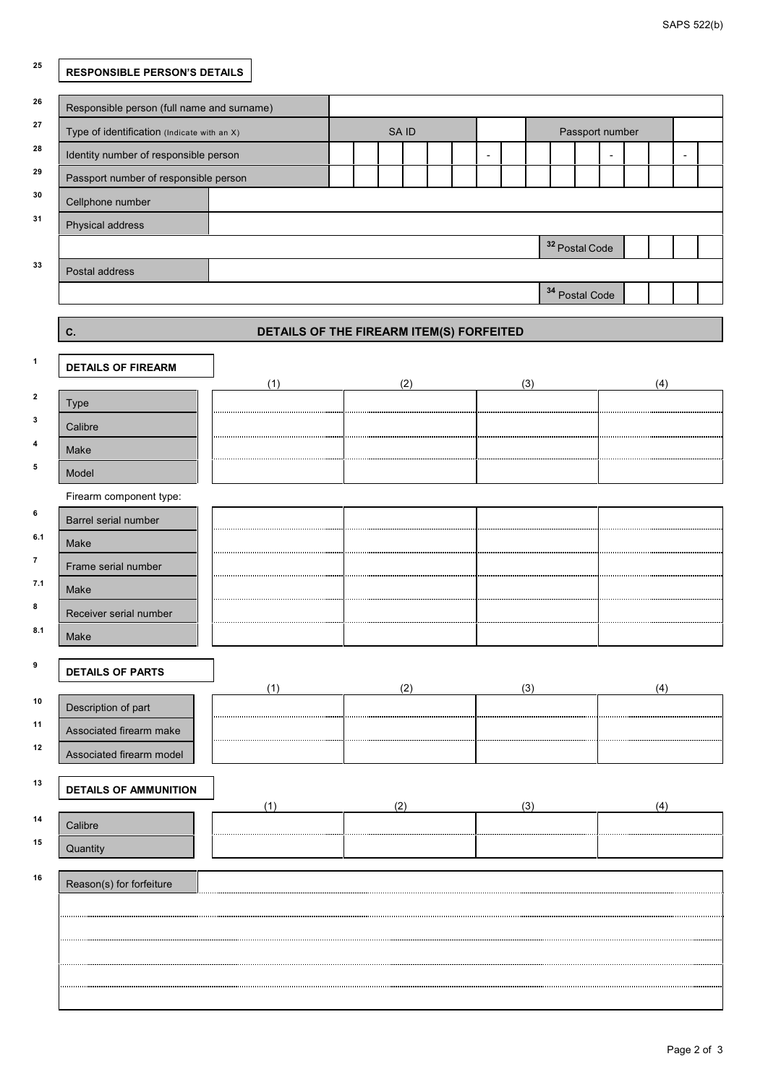| 25               | <b>RESPONSIBLE PERSON'S DETAILS</b>         |                                          |  |       |     |     |  |  |  |     |  |                           |                 |  |  |     |  |
|------------------|---------------------------------------------|------------------------------------------|--|-------|-----|-----|--|--|--|-----|--|---------------------------|-----------------|--|--|-----|--|
| 26               | Responsible person (full name and surname)  |                                          |  |       |     |     |  |  |  |     |  |                           |                 |  |  |     |  |
| 27               | Type of identification (Indicate with an X) |                                          |  | SA ID |     |     |  |  |  |     |  |                           | Passport number |  |  |     |  |
| 28               | Identity number of responsible person       |                                          |  |       |     |     |  |  |  |     |  |                           |                 |  |  |     |  |
| 29               |                                             | Passport number of responsible person    |  |       |     |     |  |  |  |     |  |                           |                 |  |  |     |  |
| 30               | Cellphone number                            |                                          |  |       |     |     |  |  |  |     |  |                           |                 |  |  |     |  |
| 31               | Physical address                            |                                          |  |       |     |     |  |  |  |     |  |                           |                 |  |  |     |  |
|                  |                                             |                                          |  |       |     |     |  |  |  |     |  | <sup>32</sup> Postal Code |                 |  |  |     |  |
| 33               | Postal address                              |                                          |  |       |     |     |  |  |  |     |  |                           |                 |  |  |     |  |
|                  | <sup>34</sup> Postal Code                   |                                          |  |       |     |     |  |  |  |     |  |                           |                 |  |  |     |  |
|                  | C.                                          | DETAILS OF THE FIREARM ITEM(S) FORFEITED |  |       |     |     |  |  |  |     |  |                           |                 |  |  |     |  |
| $\mathbf{1}$     | <b>DETAILS OF FIREARM</b>                   |                                          |  |       |     |     |  |  |  |     |  |                           |                 |  |  |     |  |
| $\boldsymbol{2}$ |                                             | (1)                                      |  |       |     | (2) |  |  |  | (3) |  |                           |                 |  |  | (4) |  |
| 3                | Type<br>Calibre                             |                                          |  |       |     |     |  |  |  |     |  |                           |                 |  |  |     |  |
| 4                | Make                                        |                                          |  |       |     |     |  |  |  |     |  |                           |                 |  |  |     |  |
| 5                | Model                                       |                                          |  |       |     |     |  |  |  |     |  |                           |                 |  |  |     |  |
|                  | Firearm component type:                     |                                          |  |       |     |     |  |  |  |     |  |                           |                 |  |  |     |  |
| 6                | Barrel serial number                        |                                          |  |       |     |     |  |  |  |     |  |                           |                 |  |  |     |  |
| 6.1              | Make                                        |                                          |  |       |     |     |  |  |  |     |  |                           |                 |  |  |     |  |
| $\overline{7}$   | Frame serial number                         |                                          |  |       |     |     |  |  |  |     |  |                           |                 |  |  |     |  |
| 7.1              | Make                                        |                                          |  |       |     |     |  |  |  |     |  |                           |                 |  |  |     |  |
| 8                | Receiver serial number                      |                                          |  |       |     |     |  |  |  |     |  |                           |                 |  |  |     |  |
| 8.1              | Make                                        |                                          |  |       |     |     |  |  |  |     |  |                           |                 |  |  |     |  |
| 9                | <b>DETAILS OF PARTS</b>                     |                                          |  |       |     |     |  |  |  |     |  |                           |                 |  |  |     |  |
| 10               | Description of part                         | (1)                                      |  |       |     | (2) |  |  |  | (3) |  |                           |                 |  |  | (4) |  |
| 11               | Associated firearm make                     |                                          |  |       |     |     |  |  |  |     |  |                           |                 |  |  |     |  |
| 12               | Associated firearm model                    |                                          |  |       |     |     |  |  |  |     |  |                           |                 |  |  |     |  |
| 13               | <b>DETAILS OF AMMUNITION</b>                |                                          |  |       |     |     |  |  |  |     |  |                           |                 |  |  |     |  |
| 14               | Calibre                                     | (1)                                      |  |       | (2) |     |  |  |  | (3) |  |                           |                 |  |  | (4) |  |
| 15               | Quantity                                    |                                          |  |       |     |     |  |  |  |     |  |                           |                 |  |  |     |  |
| 16               |                                             |                                          |  |       |     |     |  |  |  |     |  |                           |                 |  |  |     |  |
|                  | Reason(s) for forfeiture                    |                                          |  |       |     |     |  |  |  |     |  |                           |                 |  |  |     |  |
|                  |                                             |                                          |  |       |     |     |  |  |  |     |  |                           |                 |  |  |     |  |
|                  |                                             |                                          |  |       |     |     |  |  |  |     |  |                           |                 |  |  |     |  |
|                  |                                             |                                          |  |       |     |     |  |  |  |     |  |                           |                 |  |  |     |  |
|                  |                                             |                                          |  |       |     |     |  |  |  |     |  |                           |                 |  |  |     |  |